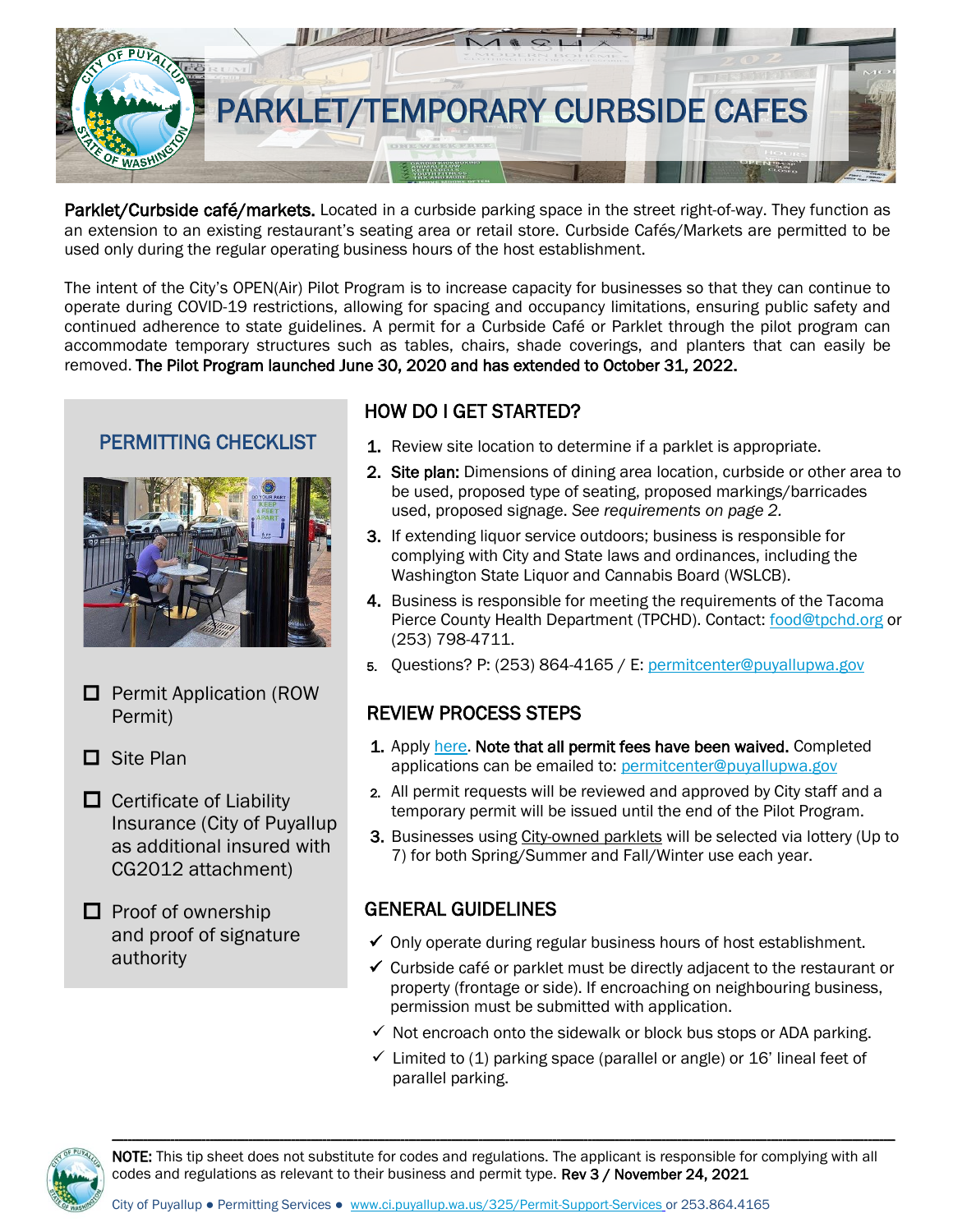

Parklet/Curbside café/markets. Located in a curbside parking space in the street right-of-way. They function as an extension to an existing restaurant's seating area or retail store. Curbside Cafés/Markets are permitted to be used only during the regular operating business hours of the host establishment.

The intent of the City's OPEN(Air) Pilot Program is to increase capacity for businesses so that they can continue to operate during COVID-19 restrictions, allowing for spacing and occupancy limitations, ensuring public safety and continued adherence to state guidelines. A permit for a Curbside Café or Parklet through the pilot program can accommodate temporary structures such as tables, chairs, shade coverings, and planters that can easily be removed. The Pilot Program launched June 30, 2020 and has extended to October 31, 2022.

## PERMITTING CHECKLIST



- $\Box$  Permit Application (ROW Permit)
- □ Site Plan
- $\Box$  Certificate of Liability Insurance (City of Puyallup as additional insured with CG2012 attachment)

 $\Box$  Proof of ownership and proof of signature authority

# HOW DO I GET STARTED?

- **1.** Review site location to determine if a parklet is appropriate.
- 2. Site plan: Dimensions of dining area location, curbside or other area to be used, proposed type of seating, proposed markings/barricades used, proposed signage. *See requirements on page 2.*
- 3. If extending liquor service outdoors; business is responsible for complying with City and State laws and ordinances, including the Washington State Liquor and Cannabis Board (WSLCB).
- 4. Business is responsible for meeting the requirements of the Tacoma Pierce County Health Department (TPCHD). Contact[: food@tpchd.org](mailto:food@tpchd.org) or (253) 798-4711.
- 5. Questions? P: (253) 864-4165 / E: [permitcenter@puyallupwa.gov](mailto:permitcenter@ci.puyallup.wa.us)

### REVIEW PROCESS STEPS

- 1. Apply [here.](https://www.cityofpuyallup.org/DocumentCenter/View/1407/Right-of-Way-Permit-PDF-?bidId=) Note that all permit fees have been waived. Completed applications can be emailed to: [permitcenter@puyallupwa.gov](mailto:permitcenter@puyallupwa.gov)
- 2. All permit requests will be reviewed and approved by City staff and a temporary permit will be issued until the end of the Pilot Program.
- 3. Businesses using City-owned parklets will be selected via lottery (Up to 7) for both Spring/Summer and Fall/Winter use each year.

### GENERAL GUIDELINES

- $\checkmark$  Only operate during regular business hours of host establishment.
- $\checkmark$  Curbside café or parklet must be directly adjacent to the restaurant or property (frontage or side). If encroaching on neighbouring business, permission must be submitted with application.
- $\checkmark$  Not encroach onto the sidewalk or block bus stops or ADA parking.
- $\checkmark$  Limited to (1) parking space (parallel or angle) or 16' lineal feet of parallel parking.



NOTE: This tip sheet does not substitute for codes and regulations. The applicant is responsible for complying with all codes and regulations as relevant to their business and permit type. Rev 3 / November 24, 2021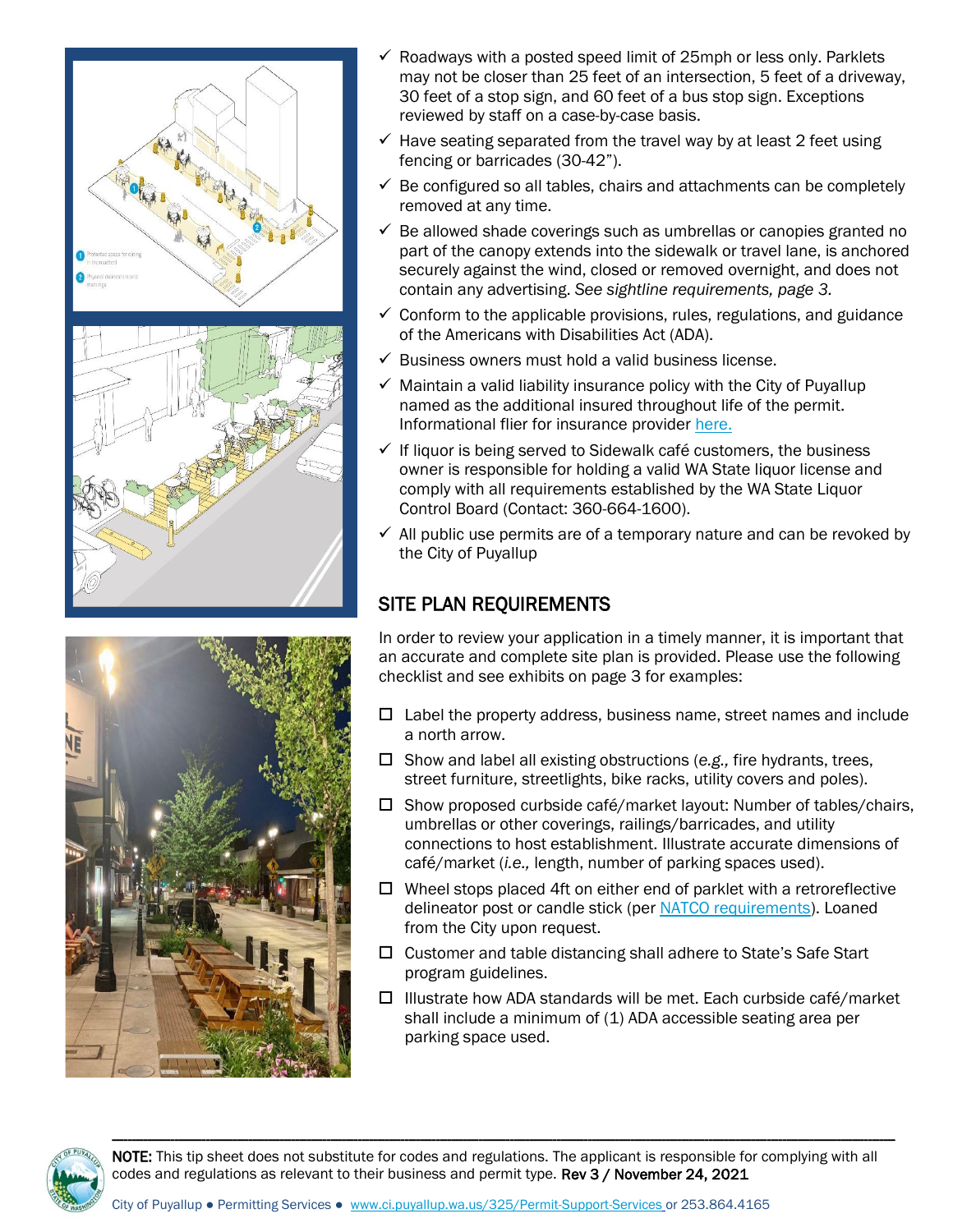



- $\checkmark$  Roadways with a posted speed limit of 25mph or less only. Parklets may not be closer than 25 feet of an intersection, 5 feet of a driveway, 30 feet of a stop sign, and 60 feet of a bus stop sign. Exceptions reviewed by staff on a case-by-case basis.
- $\checkmark$  Have seating separated from the travel way by at least 2 feet using fencing or barricades (30-42").
- $\checkmark$  Be configured so all tables, chairs and attachments can be completely removed at any time.
- $\checkmark$  Be allowed shade coverings such as umbrellas or canopies granted no part of the canopy extends into the sidewalk or travel lane, is anchored securely against the wind, closed or removed overnight, and does not contain any advertising. *See sightline requirements, page 3.*
- $\checkmark$  Conform to the applicable provisions, rules, regulations, and guidance of the Americans with Disabilities Act (ADA).
- $\checkmark$  Business owners must hold a valid business license.
- $\checkmark$  Maintain a valid liability insurance policy with the City of Puyallup named as the additional insured throughout life of the permit. Informational flier for insurance provide[r here.](https://www.cityofpuyallup.org/DocumentCenter/View/12262/Insurance-Requirements-for-Permit-Apps)
- $\checkmark$  If liquor is being served to Sidewalk café customers, the business owner is responsible for holding a valid WA State liquor license and comply with all requirements established by the WA State Liquor Control Board (Contact: 360-664-1600).
- $\checkmark$  All public use permits are of a temporary nature and can be revoked by the City of Puyallup

# SITE PLAN REQUIREMENTS

In order to review your application in a timely manner, it is important that an accurate and complete site plan is provided. Please use the following checklist and see exhibits on page 3 for examples:

- $\Box$  Label the property address, business name, street names and include a north arrow.
- □ Show and label all existing obstructions (e.g., fire hydrants, trees, street furniture, streetlights, bike racks, utility covers and poles).
- $\Box$  Show proposed curbside café/market layout: Number of tables/chairs, umbrellas or other coverings, railings/barricades, and utility connections to host establishment. Illustrate accurate dimensions of café/market (*i.e.,* length, number of parking spaces used).
- $\Box$  Wheel stops placed 4ft on either end of parklet with a retroreflective delineator post or candle stick (per [NATCO requirements\)](https://nacto.org/publication/bike-share-station-siting-guide/materials-and-design-elements/). Loaned from the City upon request.
- $\Box$  Customer and table distancing shall adhere to State's Safe Start program guidelines.
- $\Box$  Illustrate how ADA standards will be met. Each curbside café/market shall include a minimum of (1) ADA accessible seating area per parking space used.



NOTE: This tip sheet does not substitute for codes and regulations. The applicant is responsible for complying with all codes and regulations as relevant to their business and permit type. Rev 3 / November 24, 2021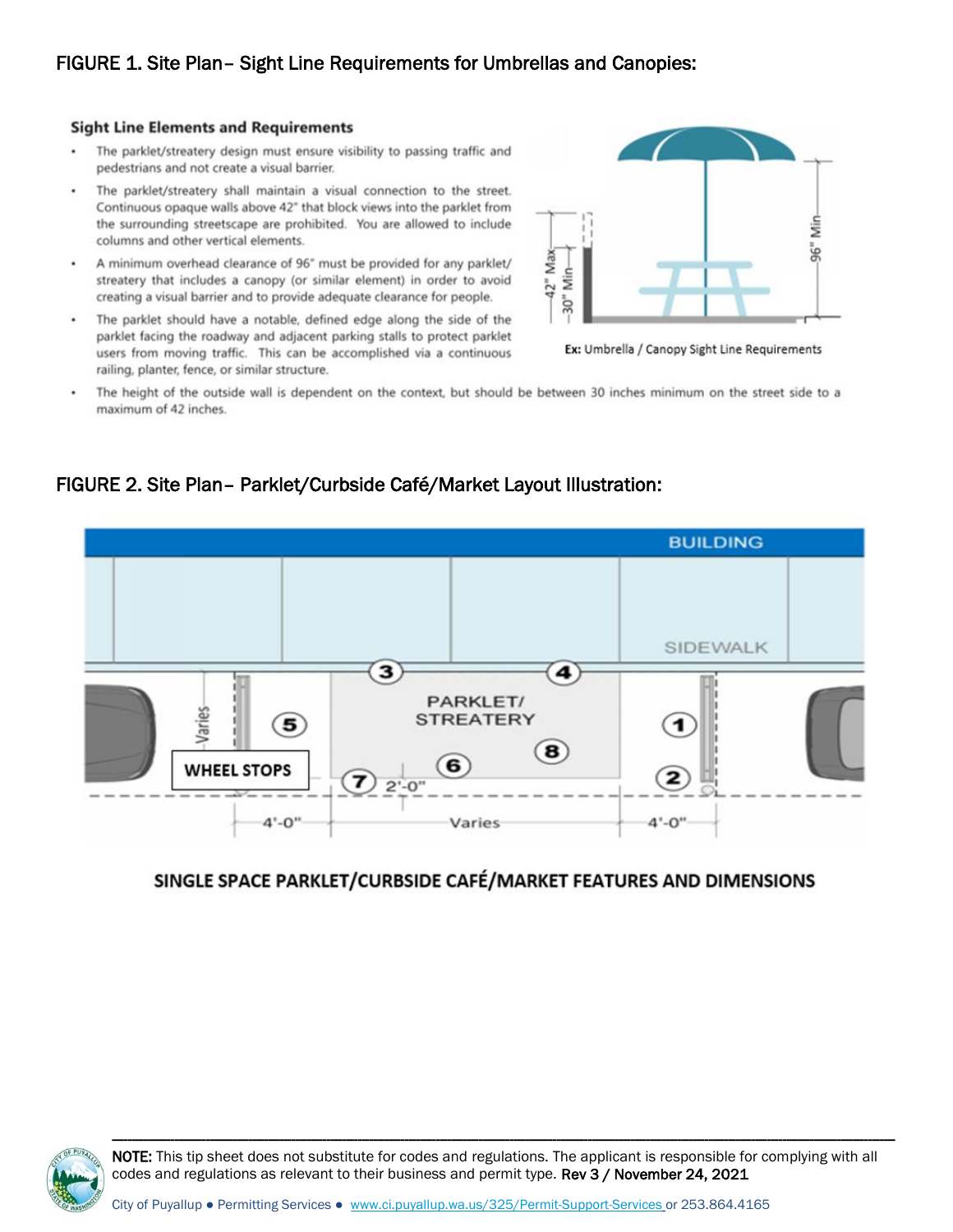#### **Sight Line Elements and Requirements**

- The parklet/streatery design must ensure visibility to passing traffic and pedestrians and not create a visual barrier.
- The parklet/streatery shall maintain a visual connection to the street. ٠ Continuous opaque walls above 42" that block views into the parklet from<br>the surrounding streetscape are prohibited. You are allowed to include columns and other vertical elements.
- A minimum overhead clearance of 96" must be provided for any parklet/ streatery that includes a canopy (or similar element) in order to avoid creating a visual barrier and to provide adequate clearance for people.
- ٠ The parklet should have a notable, defined edge along the side of the parklet facing the roadway and adjacent parking stalls to protect parklet users from moving traffic. This can be accomplished via a continuous railing, planter, fence, or similar structure.



Ex: Umbrella / Canopy Sight Line Requirements

The height of the outside wall is dependent on the context, but should be between 30 inches minimum on the street side to a maximum of 42 inches.

## FIGURE 2. Site Plan– Parklet/Curbside Café/Market Layout Illustration:



### SINGLE SPACE PARKLET/CURBSIDE CAFÉ/MARKET FEATURES AND DIMENSIONS



NOTE: This tip sheet does not substitute for codes and regulations. The applicant is responsible for complying with all codes and regulations as relevant to their business and permit type. Rev 3 / November 24, 2021